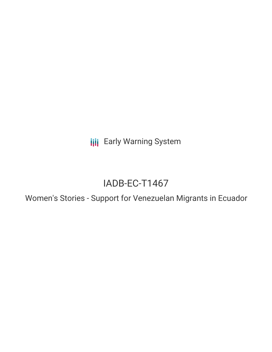**III** Early Warning System

# IADB-EC-T1467

Women's Stories - Support for Venezuelan Migrants in Ecuador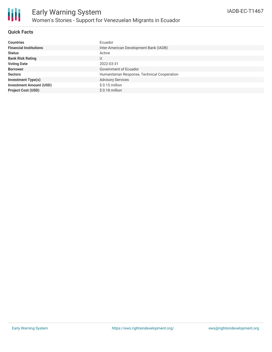

# **Quick Facts**

| <b>Countries</b>               | Ecuador                                      |
|--------------------------------|----------------------------------------------|
| <b>Financial Institutions</b>  | Inter-American Development Bank (IADB)       |
| <b>Status</b>                  | Active                                       |
| <b>Bank Risk Rating</b>        | U                                            |
| <b>Voting Date</b>             | 2022-03-31                                   |
| <b>Borrower</b>                | Government of Ecuador                        |
| <b>Sectors</b>                 | Humanitarian Response, Technical Cooperation |
| <b>Investment Type(s)</b>      | <b>Advisory Services</b>                     |
| <b>Investment Amount (USD)</b> | $$0.15$ million                              |
| <b>Project Cost (USD)</b>      | $$0.18$ million                              |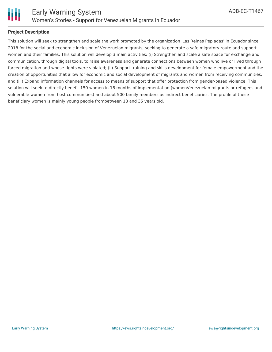

# **Project Description**

This solution will seek to strengthen and scale the work promoted by the organization 'Las Reinas Pepiadas' in Ecuador since 2018 for the social and economic inclusion of Venezuelan migrants, seeking to generate a safe migratory route and support women and their families. This solution will develop 3 main activities: (i) Strengthen and scale a safe space for exchange and communication, through digital tools, to raise awareness and generate connections between women who live or lived through forced migration and whose rights were violated; (ii) Support training and skills development for female empowerment and the creation of opportunities that allow for economic and social development of migrants and women from receiving communities; and (iii) Expand information channels for access to means of support that offer protection from gender-based violence. This solution will seek to directly benefit 150 women in 18 months of implementation (womenVenezuelan migrants or refugees and vulnerable women from host communities) and about 500 family members as indirect beneficiaries. The profile of these beneficiary women is mainly young people frombetween 18 and 35 years old.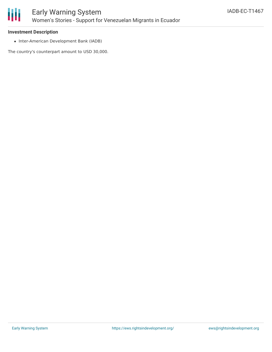

#### **Investment Description**

• Inter-American Development Bank (IADB)

The country's counterpart amount to USD 30,000.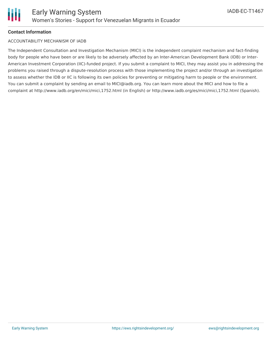

# **Contact Information**

#### ACCOUNTABILITY MECHANISM OF IADB

The Independent Consultation and Investigation Mechanism (MICI) is the independent complaint mechanism and fact-finding body for people who have been or are likely to be adversely affected by an Inter-American Development Bank (IDB) or Inter-American Investment Corporation (IIC)-funded project. If you submit a complaint to MICI, they may assist you in addressing the problems you raised through a dispute-resolution process with those implementing the project and/or through an investigation to assess whether the IDB or IIC is following its own policies for preventing or mitigating harm to people or the environment. You can submit a complaint by sending an email to MICI@iadb.org. You can learn more about the MICI and how to file a complaint at http://www.iadb.org/en/mici/mici,1752.html (in English) or http://www.iadb.org/es/mici/mici,1752.html (Spanish).